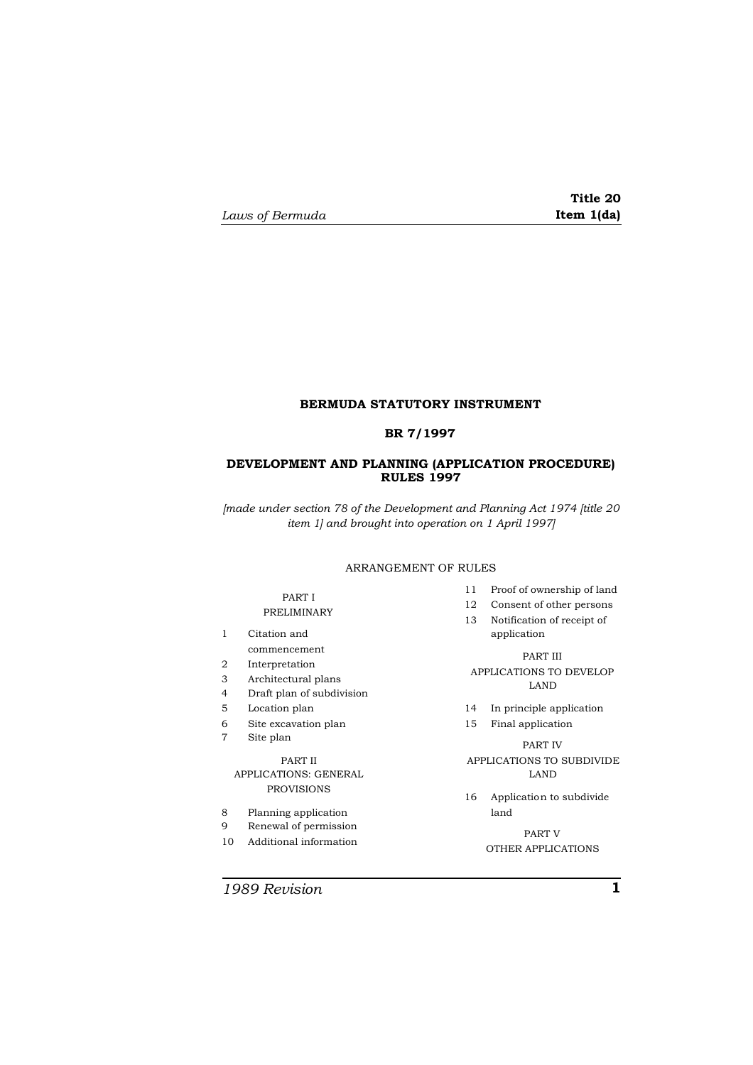# **Title 20**

## **BERMUDA STATUTORY INSTRUMENT**

#### **BR 7/1997**

## **DEVELOPMENT AND PLANNING (APPLICATION PROCEDURE) RULES 1997**

*[made under section 78 of the Development and Planning Act 1974 [title 20 item 1] and brought into operation on 1 April 1997]*

#### ARRANGEMENT OF RULES

## PART I PRELIMINARY

- 1 Citation and commencement
- 2 Interpretation
- 3 Architectural plans
- 4 Draft plan of subdivision
- 5 Location plan
- 6 Site excavation plan
- 7 Site plan

## PART II APPLICATIONS: GENERAL PROVISIONS

- 8 Planning application
- 9 Renewal of permission
- 10 Additional information
- 11 Proof of ownership of land
- 12 Consent of other persons
- 13 Notification of receipt of application
	- PART III
- APPLICATIONS TO DEVELOP LAND
- 14 In principle application
- 15 Final application

PART IV APPLICATIONS TO SUBDIVIDE LAND

16 Application to subdivide land

> PART V OTHER APPLICATIONS

*1989 Revision* **1**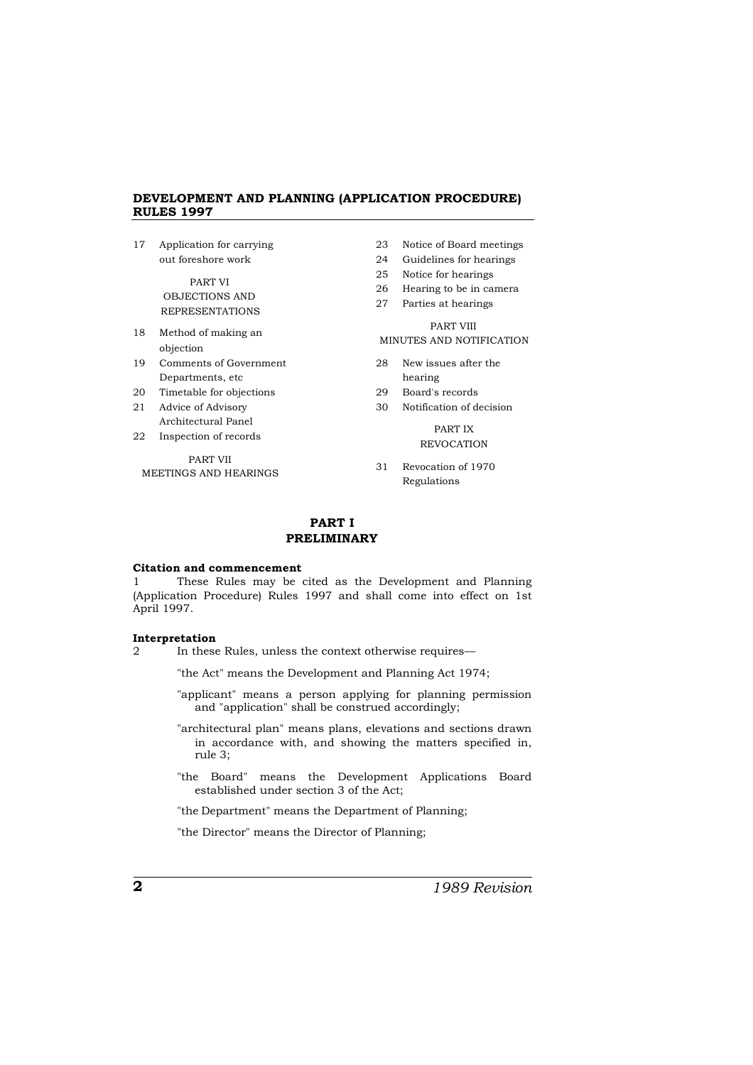17 Application for carrying out foreshore work PART VI OBJECTIONS AND REPRESENTATIONS 18 Method of making an objection 19 Comments of Government Departments, etc 20 Timetable for objections 21 Advice of Advisory Architectural Panel 22 Inspection of records 24 Guidelines for hearings 25 Notice for hearings 26 Hearing to be in camera 27 Parties at hearings hearing PART IX

PART VII MEETINGS AND HEARINGS

- 23 Notice of Board meetings
- 
- 
- 

## PART VIII MINUTES AND NOTIFICATION

- 28 New issues after the
- 29 Board's records
- 30 Notification of decision

## REVOCATION

31 Revocation of 1970 Regulations

## **PART I PRELIMINARY**

#### **Citation and commencement**

These Rules may be cited as the Development and Planning (Application Procedure) Rules 1997 and shall come into effect on 1st April 1997.

#### **Interpretation**

2 In these Rules, unless the context otherwise requires—

"the Act" means the Development and Planning Act 1974;

- "applicant" means a person applying for planning permission and "application" shall be construed accordingly;
- "architectural plan" means plans, elevations and sections drawn in accordance with, and showing the matters specified in, rule 3;
- "the Board" means the Development Applications Board established under section 3 of the Act;

"the Department" means the Department of Planning;

"the Director" means the Director of Planning;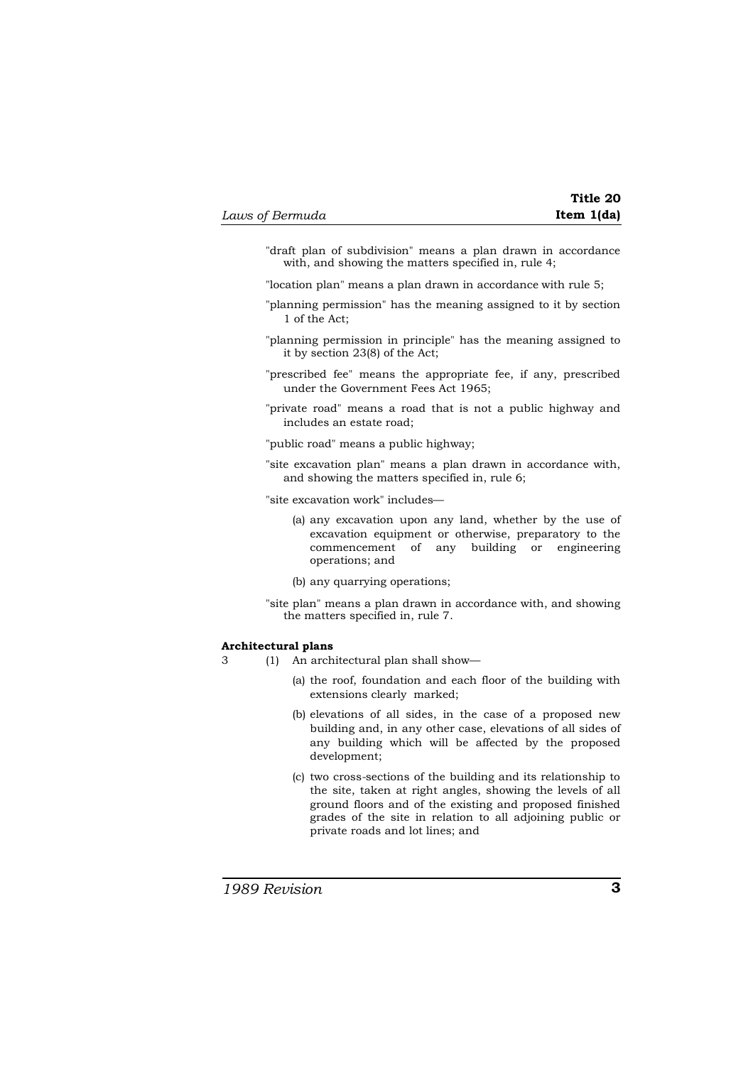| Laws of Bermuda | Item $1(da)$ |
|-----------------|--------------|
|-----------------|--------------|

|            | Title 20 |
|------------|----------|
| Item 1(da) |          |

- "draft plan of subdivision" means a plan drawn in accordance with, and showing the matters specified in, rule 4;
- "location plan" means a plan drawn in accordance with rule 5;
- "planning permission" has the meaning assigned to it by section 1 of the Act;
- "planning permission in principle" has the meaning assigned to it by section 23(8) of the Act;
- "prescribed fee" means the appropriate fee, if any, prescribed under the Government Fees Act 1965;
- "private road" means a road that is not a public highway and includes an estate road;
- "public road" means a public highway;
- "site excavation plan" means a plan drawn in accordance with, and showing the matters specified in, rule 6;
- "site excavation work" includes—
	- (a) any excavation upon any land, whether by the use of excavation equipment or otherwise, preparatory to the commencement of any building or engineering operations; and
	- (b) any quarrying operations;
- "site plan" means a plan drawn in accordance with, and showing the matters specified in, rule 7.

#### **Architectural plans**

- 3 (1) An architectural plan shall show—
	- (a) the roof, foundation and each floor of the building with extensions clearly marked;
	- (b) elevations of all sides, in the case of a proposed new building and, in any other case, elevations of all sides of any building which will be affected by the proposed development;
	- (c) two cross-sections of the building and its relationship to the site, taken at right angles, showing the levels of all ground floors and of the existing and proposed finished grades of the site in relation to all adjoining public or private roads and lot lines; and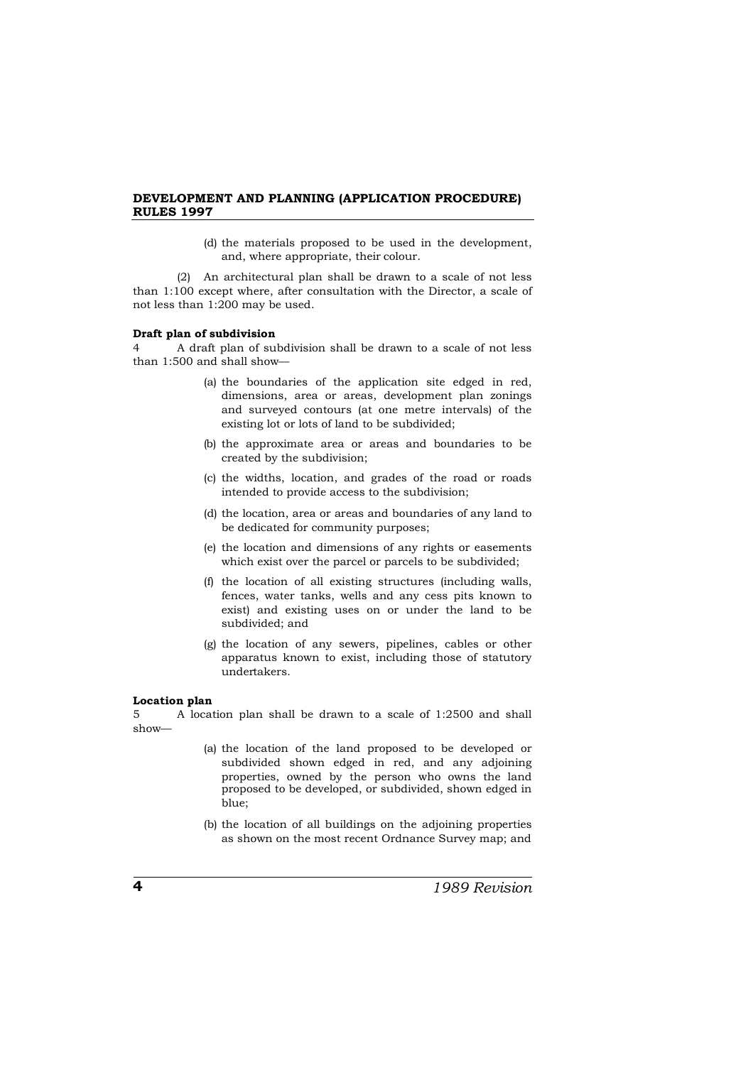(d) the materials proposed to be used in the development, and, where appropriate, their colour.

(2) An architectural plan shall be drawn to a scale of not less than 1:100 except where, after consultation with the Director, a scale of not less than 1:200 may be used.

### **Draft plan of subdivision**

4 A draft plan of subdivision shall be drawn to a scale of not less than 1:500 and shall show—

- (a) the boundaries of the application site edged in red, dimensions, area or areas, development plan zonings and surveyed contours (at one metre intervals) of the existing lot or lots of land to be subdivided;
- (b) the approximate area or areas and boundaries to be created by the subdivision;
- (c) the widths, location, and grades of the road or roads intended to provide access to the subdivision;
- (d) the location, area or areas and boundaries of any land to be dedicated for community purposes;
- (e) the location and dimensions of any rights or easements which exist over the parcel or parcels to be subdivided;
- (f) the location of all existing structures (including walls, fences, water tanks, wells and any cess pits known to exist) and existing uses on or under the land to be subdivided; and
- (g) the location of any sewers, pipelines, cables or other apparatus known to exist, including those of statutory undertakers.

## **Location plan**

5 A location plan shall be drawn to a scale of 1:2500 and shall show—

- (a) the location of the land proposed to be developed or subdivided shown edged in red, and any adjoining properties, owned by the person who owns the land proposed to be developed, or subdivided, shown edged in blue;
- (b) the location of all buildings on the adjoining properties as shown on the most recent Ordnance Survey map; and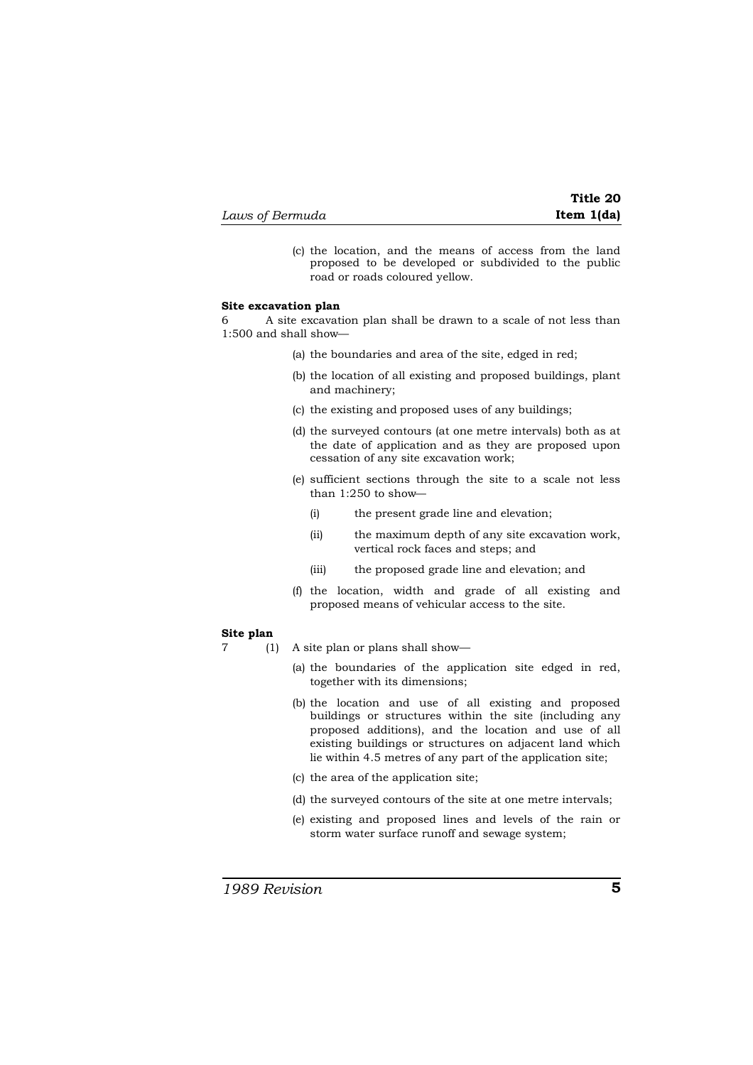| Laws of Bermuda |  |
|-----------------|--|
|-----------------|--|

- **Title 20** *Laws of Bermuda* **Item 1(da)**
- (c) the location, and the means of access from the land proposed to be developed or subdivided to the public road or roads coloured yellow.

#### **Site excavation plan**

6 A site excavation plan shall be drawn to a scale of not less than 1:500 and shall show—

- (a) the boundaries and area of the site, edged in red;
- (b) the location of all existing and proposed buildings, plant and machinery;
- (c) the existing and proposed uses of any buildings;
- (d) the surveyed contours (at one metre intervals) both as at the date of application and as they are proposed upon cessation of any site excavation work;
- (e) sufficient sections through the site to a scale not less than 1:250 to show—
	- (i) the present grade line and elevation;
	- (ii) the maximum depth of any site excavation work, vertical rock faces and steps; and
	- (iii) the proposed grade line and elevation; and
- (f) the location, width and grade of all existing and proposed means of vehicular access to the site.

#### **Site plan**

- 7 (1) A site plan or plans shall show—
	- (a) the boundaries of the application site edged in red, together with its dimensions;
	- (b) the location and use of all existing and proposed buildings or structures within the site (including any proposed additions), and the location and use of all existing buildings or structures on adjacent land which lie within 4.5 metres of any part of the application site;
	- (c) the area of the application site;
	- (d) the surveyed contours of the site at one metre intervals;
	- (e) existing and proposed lines and levels of the rain or storm water surface runoff and sewage system;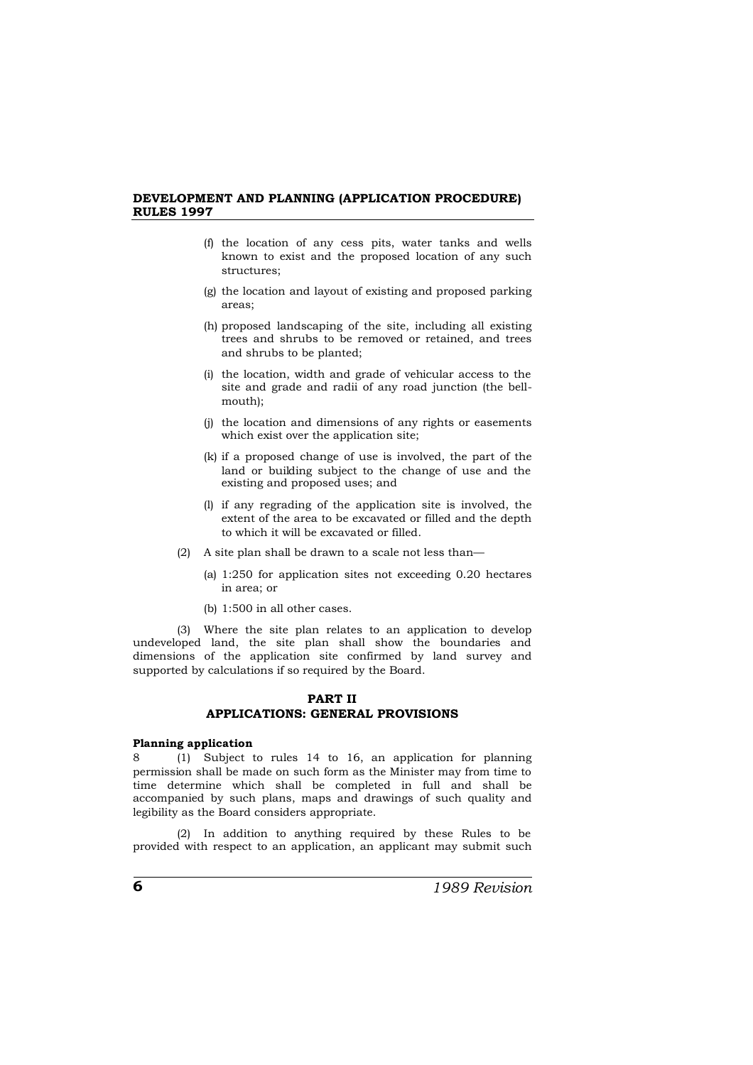- (f) the location of any cess pits, water tanks and wells known to exist and the proposed location of any such structures;
- (g) the location and layout of existing and proposed parking areas;
- (h) proposed landscaping of the site, including all existing trees and shrubs to be removed or retained, and trees and shrubs to be planted;
- (i) the location, width and grade of vehicular access to the site and grade and radii of any road junction (the bellmouth);
- (j) the location and dimensions of any rights or easements which exist over the application site;
- (k) if a proposed change of use is involved, the part of the land or building subject to the change of use and the existing and proposed uses; and
- (l) if any regrading of the application site is involved, the extent of the area to be excavated or filled and the depth to which it will be excavated or filled.
- (2) A site plan shall be drawn to a scale not less than—
	- (a) 1:250 for application sites not exceeding 0.20 hectares in area; or
	- (b) 1:500 in all other cases.

(3) Where the site plan relates to an application to develop undeveloped land, the site plan shall show the boundaries and dimensions of the application site confirmed by land survey and supported by calculations if so required by the Board.

## **PART II**

## **APPLICATIONS: GENERAL PROVISIONS**

## **Planning application**

8 (1) Subject to rules 14 to 16, an application for planning permission shall be made on such form as the Minister may from time to time determine which shall be completed in full and shall be accompanied by such plans, maps and drawings of such quality and legibility as the Board considers appropriate.

(2) In addition to anything required by these Rules to be provided with respect to an application, an applicant may submit such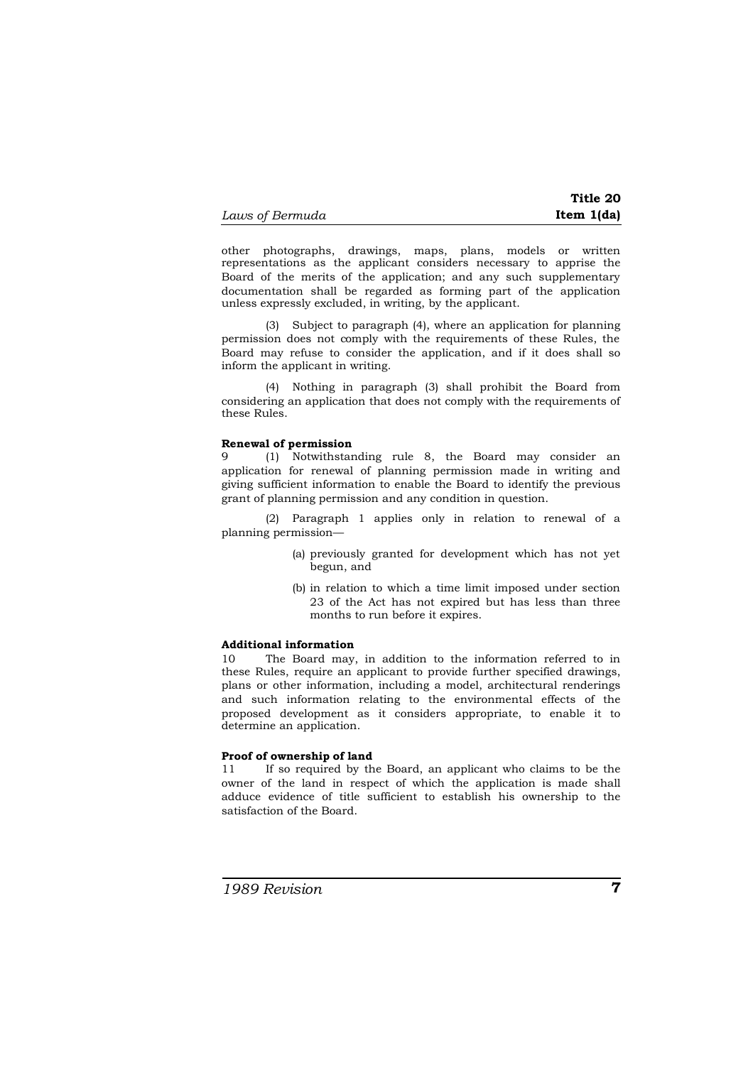| Laws of Bermuda | Item 1(da) |
|-----------------|------------|

other photographs, drawings, maps, plans, models or written representations as the applicant considers necessary to apprise the Board of the merits of the application; and any such supplementary documentation shall be regarded as forming part of the application unless expressly excluded, in writing, by the applicant.

(3) Subject to paragraph (4), where an application for planning permission does not comply with the requirements of these Rules, the Board may refuse to consider the application, and if it does shall so inform the applicant in writing.

(4) Nothing in paragraph (3) shall prohibit the Board from considering an application that does not comply with the requirements of these Rules.

## **Renewal of permission**

9 (1) Notwithstanding rule 8, the Board may consider an application for renewal of planning permission made in writing and giving sufficient information to enable the Board to identify the previous grant of planning permission and any condition in question.

(2) Paragraph 1 applies only in relation to renewal of a planning permission—

- (a) previously granted for development which has not yet begun, and
- (b) in relation to which a time limit imposed under section 23 of the Act has not expired but has less than three months to run before it expires.

## **Additional information**

10 The Board may, in addition to the information referred to in these Rules, require an applicant to provide further specified drawings, plans or other information, including a model, architectural renderings and such information relating to the environmental effects of the proposed development as it considers appropriate, to enable it to determine an application.

## **Proof of ownership of land**

11 If so required by the Board, an applicant who claims to be the owner of the land in respect of which the application is made shall adduce evidence of title sufficient to establish his ownership to the satisfaction of the Board.

**Title 20**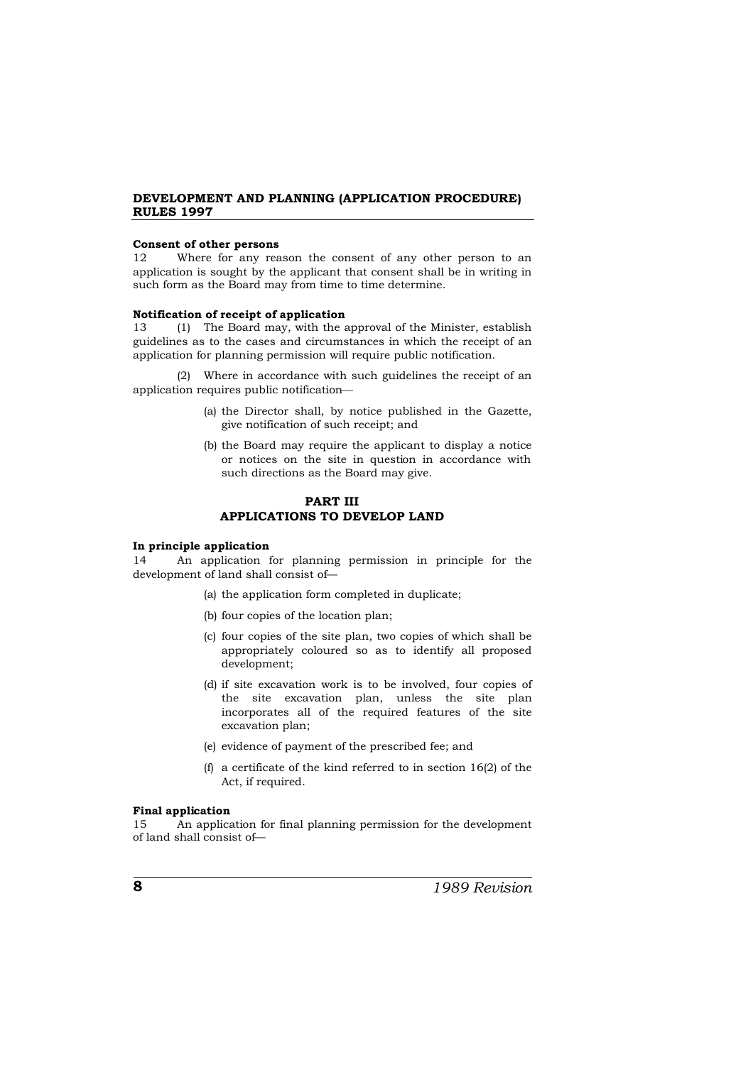#### **Consent of other persons**

12 Where for any reason the consent of any other person to an application is sought by the applicant that consent shall be in writing in such form as the Board may from time to time determine.

## **Notification of receipt of application**<br>13 (1) The Board may, with the a

13 (1) The Board may, with the approval of the Minister, establish guidelines as to the cases and circumstances in which the receipt of an application for planning permission will require public notification.

(2) Where in accordance with such guidelines the receipt of an application requires public notification

- (a) the Director shall, by notice published in the Gazette, give notification of such receipt; and
- (b) the Board may require the applicant to display a notice or notices on the site in question in accordance with such directions as the Board may give.

## **PART III APPLICATIONS TO DEVELOP LAND**

#### **In principle application**

14 An application for planning permission in principle for the development of land shall consist of—

- (a) the application form completed in duplicate;
- (b) four copies of the location plan;
- (c) four copies of the site plan, two copies of which shall be appropriately coloured so as to identify all proposed development;
- (d) if site excavation work is to be involved, four copies of the site excavation plan, unless the site plan incorporates all of the required features of the site excavation plan;
- (e) evidence of payment of the prescribed fee; and
- (f) a certificate of the kind referred to in section 16(2) of the Act, if required.

#### **Final application**

15 An application for final planning permission for the development of land shall consist of—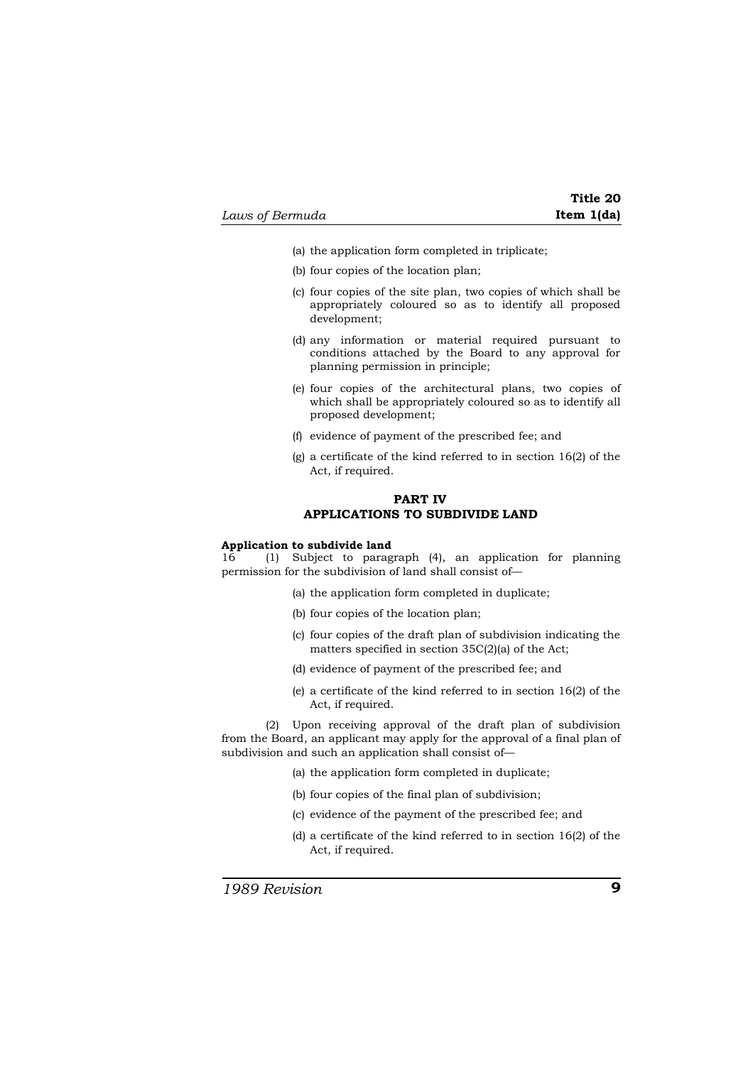| Laws of Bermuda |  |  |  |
|-----------------|--|--|--|
|-----------------|--|--|--|

**Title 20** *Laws of Bermuda* **Item 1(da)**

- (a) the application form completed in triplicate;
- (b) four copies of the location plan;
- (c) four copies of the site plan, two copies of which shall be appropriately coloured so as to identify all proposed development;
- (d) any information or material required pursuant to conditions attached by the Board to any approval for planning permission in principle;
- (e) four copies of the architectural plans, two copies of which shall be appropriately coloured so as to identify all proposed development;
- (f) evidence of payment of the prescribed fee; and
- (g) a certificate of the kind referred to in section 16(2) of the Act, if required.

## **PART IV APPLICATIONS TO SUBDIVIDE LAND**

#### **Application to subdivide land**

16 (1) Subject to paragraph (4), an application for planning permission for the subdivision of land shall consist of—

- (a) the application form completed in duplicate;
- (b) four copies of the location plan;
- (c) four copies of the draft plan of subdivision indicating the matters specified in section 35C(2)(a) of the Act;
- (d) evidence of payment of the prescribed fee; and
- (e) a certificate of the kind referred to in section 16(2) of the Act, if required.

(2) Upon receiving approval of the draft plan of subdivision from the Board, an applicant may apply for the approval of a final plan of subdivision and such an application shall consist of—

- (a) the application form completed in duplicate;
- (b) four copies of the final plan of subdivision;
- (c) evidence of the payment of the prescribed fee; and
- (d) a certificate of the kind referred to in section 16(2) of the Act, if required.

*1989 Revision* **9**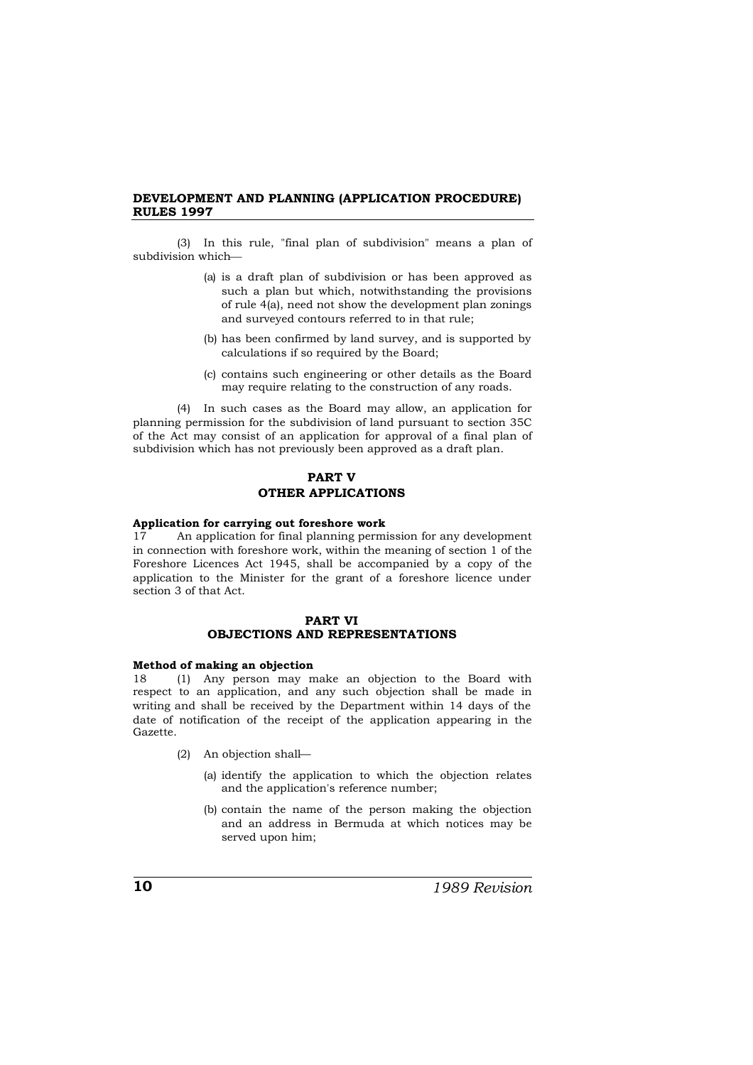(3) In this rule, "final plan of subdivision" means a plan of subdivision which

- (a) is a draft plan of subdivision or has been approved as such a plan but which, notwithstanding the provisions of rule 4(a), need not show the development plan zonings and surveyed contours referred to in that rule;
- (b) has been confirmed by land survey, and is supported by calculations if so required by the Board;
- (c) contains such engineering or other details as the Board may require relating to the construction of any roads.

(4) In such cases as the Board may allow, an application for planning permission for the subdivision of land pursuant to section 35C of the Act may consist of an application for approval of a final plan of subdivision which has not previously been approved as a draft plan.

## **PART V OTHER APPLICATIONS**

#### **Application for carrying out foreshore work**

17 An application for final planning permission for any development in connection with foreshore work, within the meaning of section 1 of the Foreshore Licences Act 1945, shall be accompanied by a copy of the application to the Minister for the grant of a foreshore licence under section 3 of that Act.

#### **PART VI OBJECTIONS AND REPRESENTATIONS**

#### **Method of making an objection**

18 (1) Any person may make an objection to the Board with respect to an application, and any such objection shall be made in writing and shall be received by the Department within 14 days of the date of notification of the receipt of the application appearing in the Gazette.

- (2) An objection shall—
	- (a) identify the application to which the objection relates and the application's reference number;
	- (b) contain the name of the person making the objection and an address in Bermuda at which notices may be served upon him;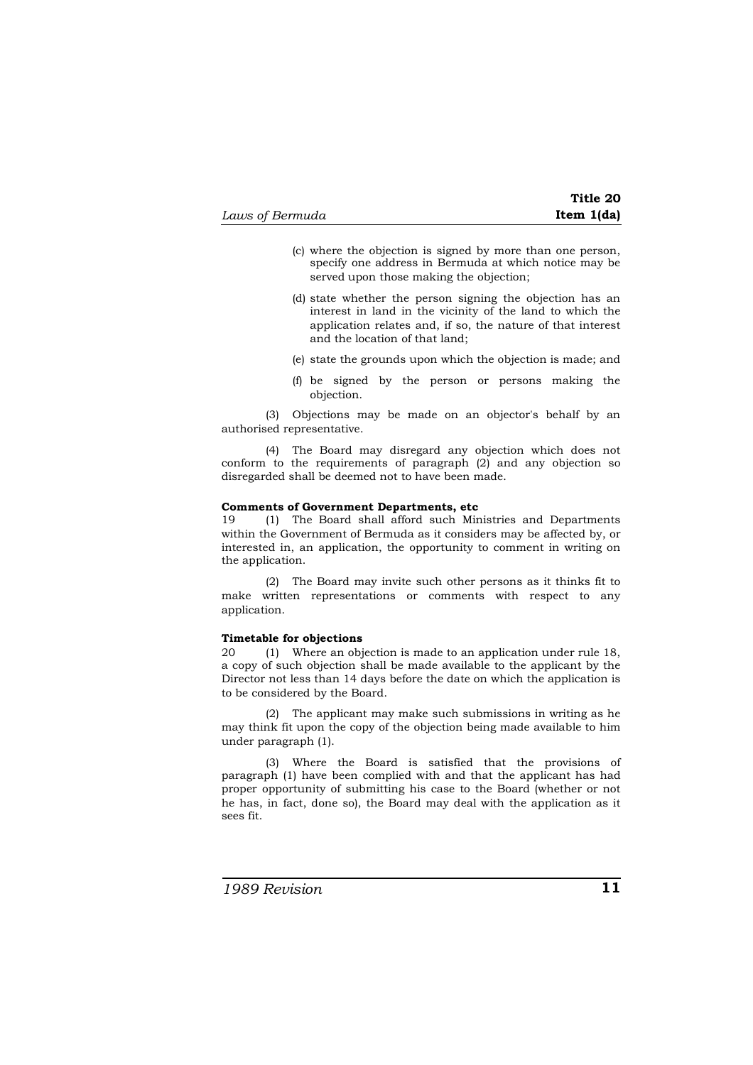| Laws of Bermuda | Item $1(da)$ |
|-----------------|--------------|
|-----------------|--------------|

|            | Title 20 |
|------------|----------|
| Item 1(da) |          |

- (c) where the objection is signed by more than one person, specify one address in Bermuda at which notice may be served upon those making the objection;
- (d) state whether the person signing the objection has an interest in land in the vicinity of the land to which the application relates and, if so, the nature of that interest and the location of that land;
- (e) state the grounds upon which the objection is made; and
- (f) be signed by the person or persons making the objection.

(3) Objections may be made on an objector's behalf by an authorised representative.

(4) The Board may disregard any objection which does not  $\overline{\text{conform}}$  to the requirements of paragraph  $(2)$  and any objection so disregarded shall be deemed not to have been made.

## **Comments of Government Departments, etc** 19 (1) The Board shall afford such Mir

19 (1) The Board shall afford such Ministries and Departments within the Government of Bermuda as it considers may be affected by, or interested in, an application, the opportunity to comment in writing on the application.

(2) The Board may invite such other persons as it thinks fit to make written representations or comments with respect to any application.

#### **Timetable for objections**

20 (1) Where an objection is made to an application under rule 18, a copy of such objection shall be made available to the applicant by the Director not less than 14 days before the date on which the application is to be considered by the Board.

(2) The applicant may make such submissions in writing as he may think fit upon the copy of the objection being made available to him under paragraph (1).

(3) Where the Board is satisfied that the provisions of paragraph (1) have been complied with and that the applicant has had proper opportunity of submitting his case to the Board (whether or not he has, in fact, done so), the Board may deal with the application as it sees fit.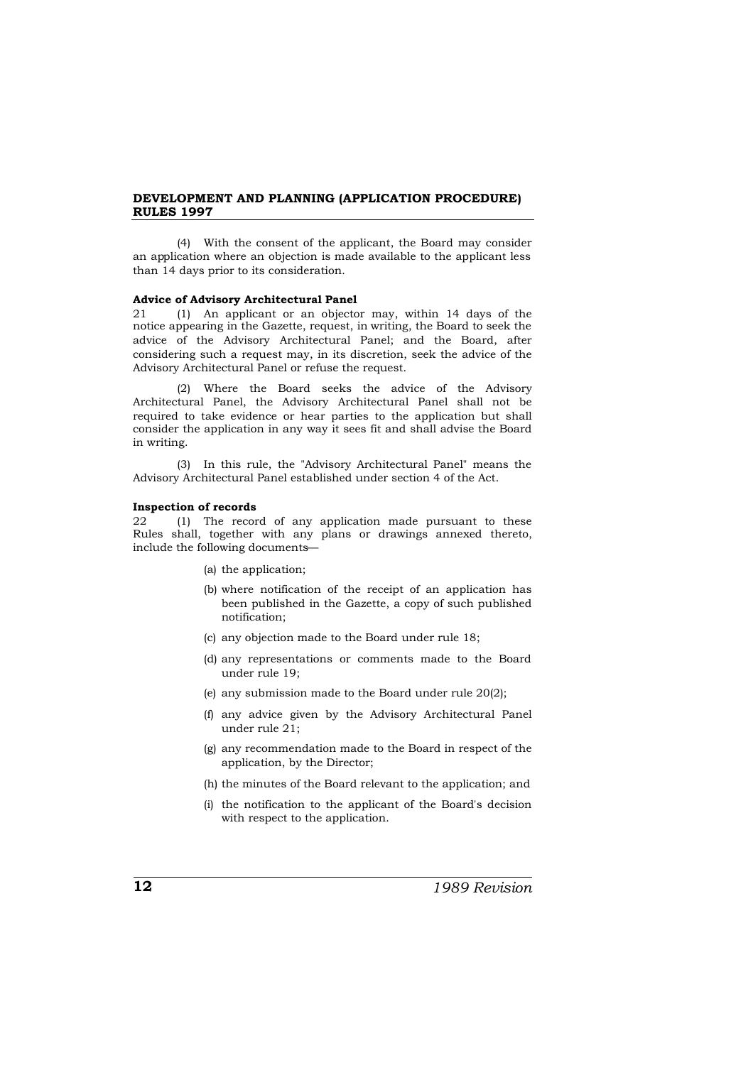(4) With the consent of the applicant, the Board may consider an application where an objection is made available to the applicant less than 14 days prior to its consideration.

#### **Advice of Advisory Architectural Panel**

21 (1) An applicant or an objector may, within 14 days of the notice appearing in the Gazette, request, in writing, the Board to seek the advice of the Advisory Architectural Panel; and the Board, after considering such a request may, in its discretion, seek the advice of the Advisory Architectural Panel or refuse the request.

(2) Where the Board seeks the advice of the Advisory Architectural Panel, the Advisory Architectural Panel shall not be required to take evidence or hear parties to the application but shall consider the application in any way it sees fit and shall advise the Board in writing.

(3) In this rule, the "Advisory Architectural Panel" means the Advisory Architectural Panel established under section 4 of the Act.

#### **Inspection of records**

22 (1) The record of any application made pursuant to these Rules shall, together with any plans or drawings annexed thereto, include the following documents—

- (a) the application;
- (b) where notification of the receipt of an application has been published in the Gazette, a copy of such published notification;
- (c) any objection made to the Board under rule 18;
- (d) any representations or comments made to the Board under rule 19;
- (e) any submission made to the Board under rule 20(2);
- (f) any advice given by the Advisory Architectural Panel under rule 21;
- (g) any recommendation made to the Board in respect of the application, by the Director;
- (h) the minutes of the Board relevant to the application; and
- (i) the notification to the applicant of the Board's decision with respect to the application.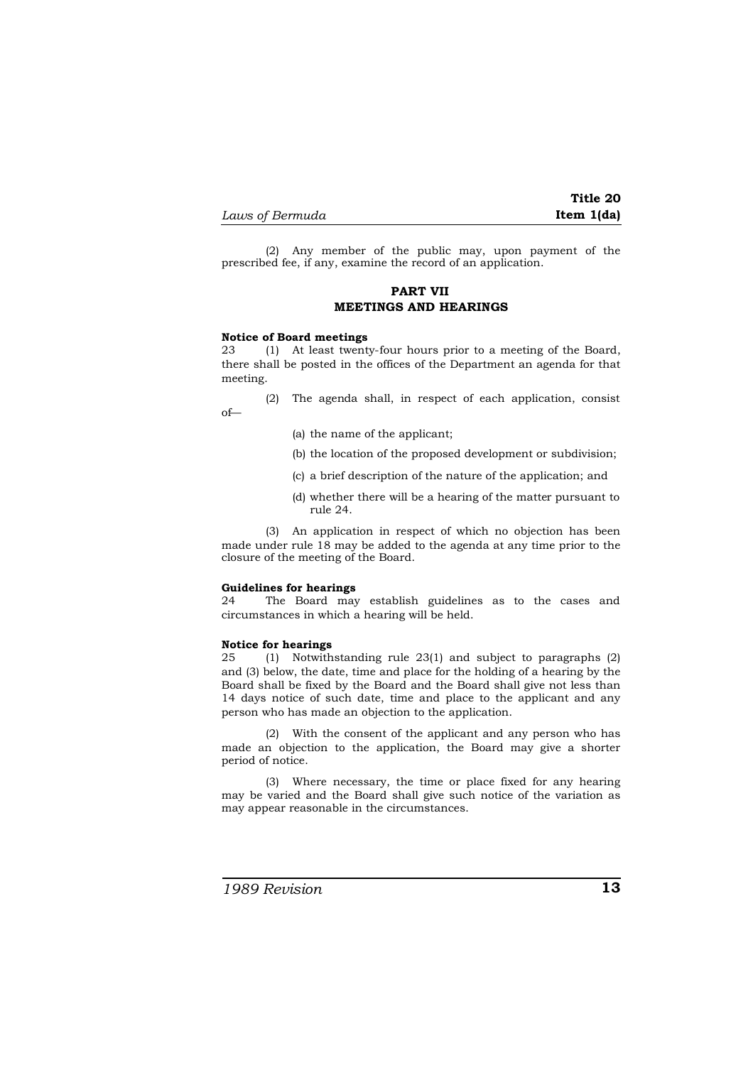**Title 20** *Laws of Bermuda* **Item 1(da)**

(2) Any member of the public may, upon payment of the prescribed fee, if any, examine the record of an application.

## **PART VII MEETINGS AND HEARINGS**

#### **Notice of Board meetings**

23 (1) At least twenty-four hours prior to a meeting of the Board, there shall be posted in the offices of the Department an agenda for that meeting.

(2) The agenda shall, in respect of each application, consist of—

- (a) the name of the applicant;
- (b) the location of the proposed development or subdivision;
- (c) a brief description of the nature of the application; and
- (d) whether there will be a hearing of the matter pursuant to rule 24.

(3) An application in respect of which no objection has been made under rule 18 may be added to the agenda at any time prior to the closure of the meeting of the Board.

#### **Guidelines for hearings**

24 The Board may establish guidelines as to the cases and circumstances in which a hearing will be held.

#### **Notice for hearings**

25 (1) Notwithstanding rule 23(1) and subject to paragraphs (2) and (3) below, the date, time and place for the holding of a hearing by the Board shall be fixed by the Board and the Board shall give not less than 14 days notice of such date, time and place to the applicant and any person who has made an objection to the application.

(2) With the consent of the applicant and any person who has made an objection to the application, the Board may give a shorter period of notice.

(3) Where necessary, the time or place fixed for any hearing may be varied and the Board shall give such notice of the variation as may appear reasonable in the circumstances.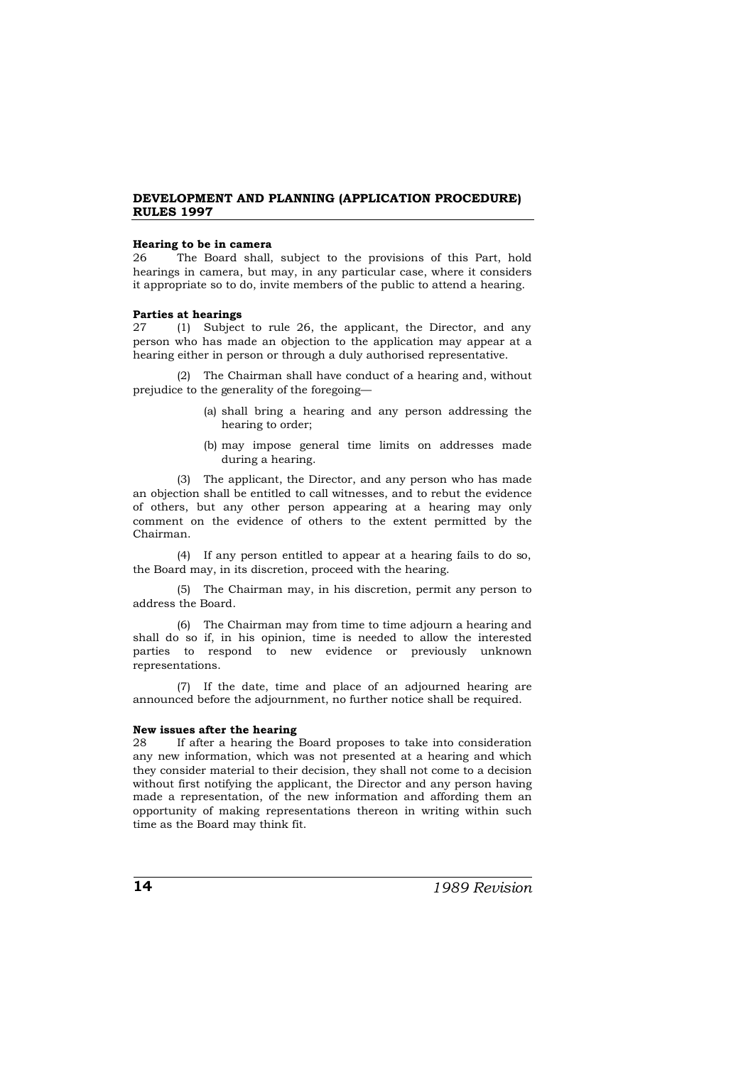#### **Hearing to be in camera**

26 The Board shall, subject to the provisions of this Part, hold hearings in camera, but may, in any particular case, where it considers it appropriate so to do, invite members of the public to attend a hearing.

## **Parties at hearings**

27 (1) Subject to rule 26, the applicant, the Director, and any person who has made an objection to the application may appear at a hearing either in person or through a duly authorised representative.

(2) The Chairman shall have conduct of a hearing and, without prejudice to the generality of the foregoing—

- (a) shall bring a hearing and any person addressing the hearing to order;
- (b) may impose general time limits on addresses made during a hearing.

(3) The applicant, the Director, and any person who has made an objection shall be entitled to call witnesses, and to rebut the evidence of others, but any other person appearing at a hearing may only comment on the evidence of others to the extent permitted by the Chairman.

(4) If any person entitled to appear at a hearing fails to do so, the Board may, in its discretion, proceed with the hearing.

(5) The Chairman may, in his discretion, permit any person to address the Board.

(6) The Chairman may from time to time adjourn a hearing and shall do so if, in his opinion, time is needed to allow the interested parties to respond to new evidence or previously unknown representations.

(7) If the date, time and place of an adjourned hearing are announced before the adjournment, no further notice shall be required.

#### **New issues after the hearing**

28 If after a hearing the Board proposes to take into consideration any new information, which was not presented at a hearing and which they consider material to their decision, they shall not come to a decision without first notifying the applicant, the Director and any person having made a representation, of the new information and affording them an opportunity of making representations thereon in writing within such time as the Board may think fit.